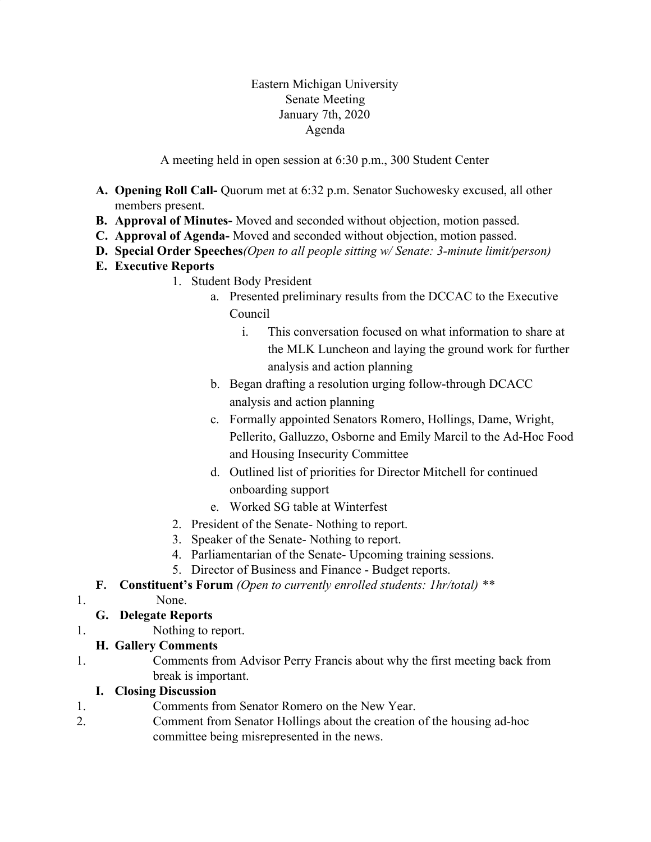### Eastern Michigan University Senate Meeting January 7th, 2020 Agenda

A meeting held in open session at 6:30 p.m., 300 Student Center

- **A. Opening Roll Call-** Quorum met at 6:32 p.m. Senator Suchowesky excused, all other members present.
- **B. Approval of Minutes-** Moved and seconded without objection, motion passed.
- **C. Approval of Agenda-** Moved and seconded without objection, motion passed.
- **D. Special Order Speeches***(Open to all people sitting w/ Senate: 3-minute limit/person)*
- **E. Executive Reports**
	- 1. Student Body President
		- a. Presented preliminary results from the DCCAC to the Executive Council
			- i. This conversation focused on what information to share at the MLK Luncheon and laying the ground work for further analysis and action planning
		- b. Began drafting a resolution urging follow-through DCACC analysis and action planning
		- c. Formally appointed Senators Romero, Hollings, Dame, Wright, Pellerito, Galluzzo, Osborne and Emily Marcil to the Ad-Hoc Food and Housing Insecurity Committee
		- d. Outlined list of priorities for Director Mitchell for continued onboarding support
		- e. Worked SG table at Winterfest
	- 2. President of the Senate- Nothing to report.
	- 3. Speaker of the Senate- Nothing to report.
	- 4. Parliamentarian of the Senate- Upcoming training sessions.
	- 5. Director of Business and Finance Budget reports.
- **F. Constituent's Forum** *(Open to currently enrolled students: 1hr/total) \*\**
- 1. None.

## **G. Delegate Reports**

1. Nothing to report.

## **H. Gallery Comments**

1. Comments from Advisor Perry Francis about why the first meeting back from break is important.

### **I. Closing Discussion**

- 1. Comments from Senator Romero on the New Year.
- 2. Comment from Senator Hollings about the creation of the housing ad-hoc committee being misrepresented in the news.